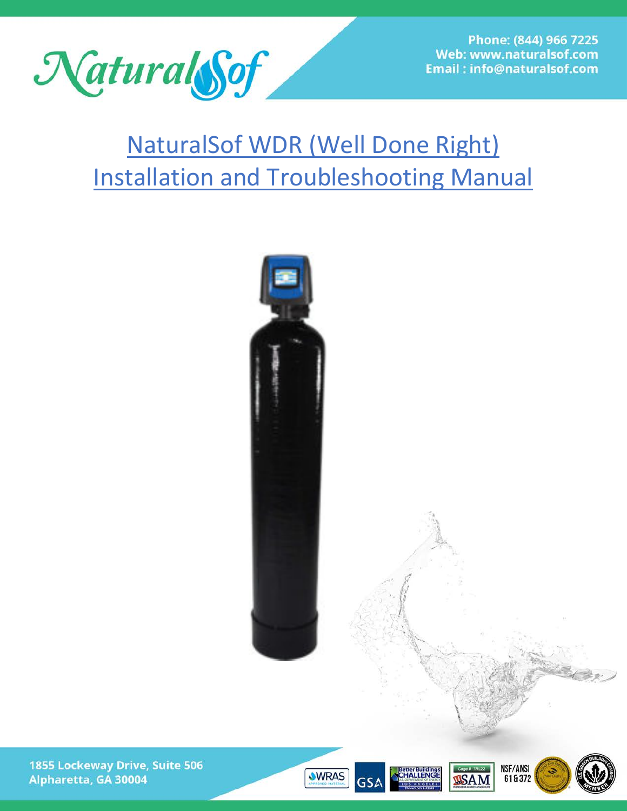

Phone: (844) 966 7225 Web: www.naturalsof.com **Email: info@naturalsof.com** 

# NaturalSof WDR (Well Done Right) Installation and Troubleshooting Manual









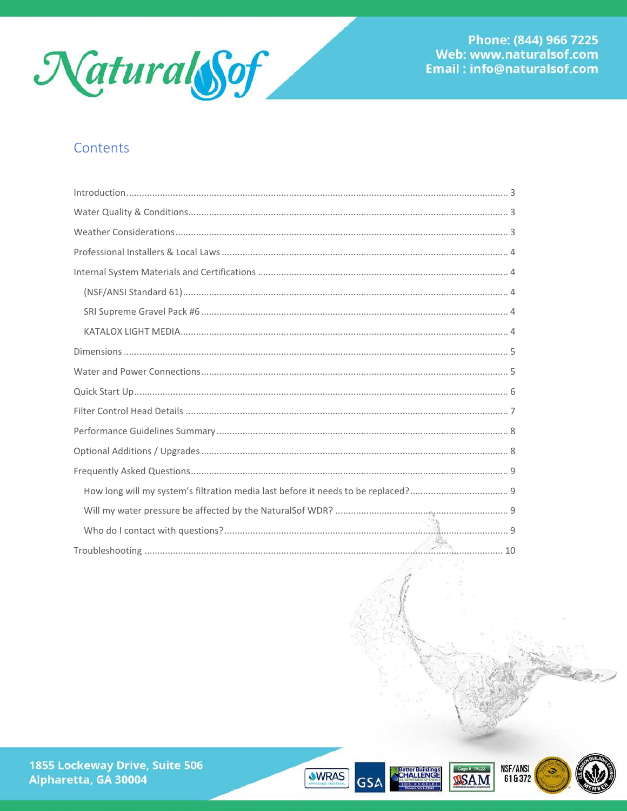

# Contents







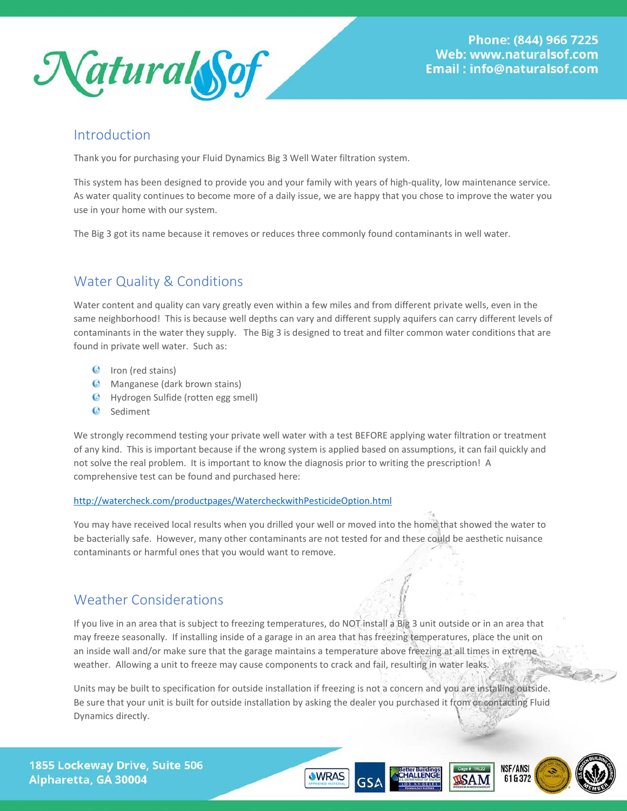

### <span id="page-2-0"></span>Introduction

Thank you for purchasing your Fluid Dynamics Big 3 Well Water filtration system.

This system has been designed to provide you and your family with years of high-quality, low maintenance service. As water quality continues to become more of a daily issue, we are happy that you chose to improve the water you use in your home with our system.

<span id="page-2-1"></span>The Big 3 got its name because it removes or reduces three commonly found contaminants in well water.

# Water Quality & Conditions

Water content and quality can vary greatly even within a few miles and from different private wells, even in the same neighborhood! This is because well depths can vary and different supply aquifers can carry different levels of contaminants in the water they supply. The Big 3 is designed to treat and filter common water conditions that are found in private well water. Such as:

- $\bullet$  Iron (red stains)
- **C** Manganese (dark brown stains)
- Hydrogen Sulfide (rotten egg smell)
- <sup>©</sup> Sediment

We strongly recommend testing your private well water with a test BEFORE applying water filtration or treatment of any kind. This is important because if the wrong system is applied based on assumptions, it can fail quickly and not solve the real problem. It is important to know the diagnosis prior to writing the prescription! A comprehensive test can be found and purchased here:

### <http://watercheck.com/productpages/WatercheckwithPesticideOption.html>

You may have received local results when you drilled your well or moved into the home that showed the water to be bacterially safe. However, many other contaminants are not tested for and these could be aesthetic nuisance contaminants or harmful ones that you would want to remove.

### <span id="page-2-2"></span>Weather Considerations

If you live in an area that is subject to freezing temperatures, do NOT install a Big 3 unit outside or in an area that may freeze seasonally. If installing inside of a garage in an area that has freezing temperatures, place the unit on an inside wall and/or make sure that the garage maintains a temperature above freezing at all times in extreme weather. Allowing a unit to freeze may cause components to crack and fail, resulting in water leaks.

Units may be built to specification for outside installation if freezing is not a concern and you are installing outside. Be sure that your unit is built for outside installation by asking the dealer you purchased it from or contacting Fluid Dynamics directly.



letter Building:<br>CHALLENGE



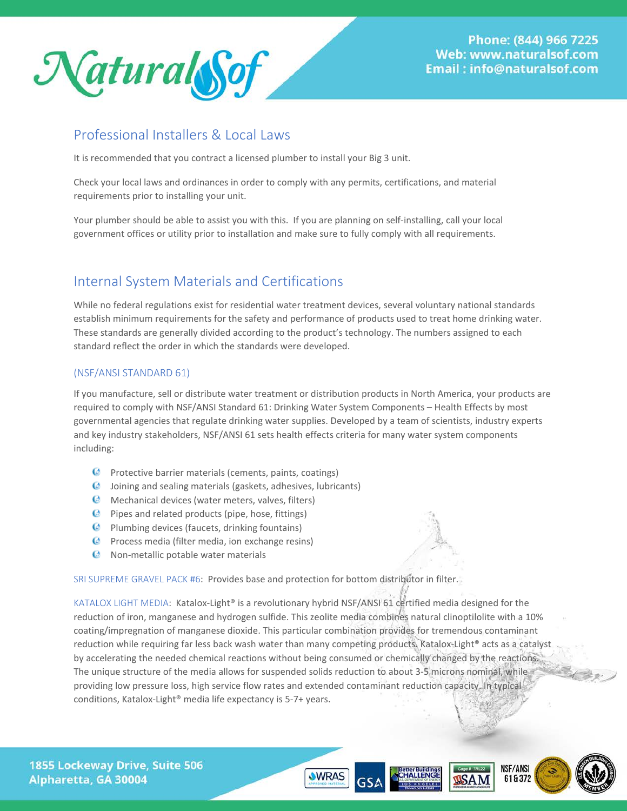

### <span id="page-3-0"></span>Professional Installers & Local Laws

It is recommended that you contract a licensed plumber to install your Big 3 unit.

Check your local laws and ordinances in order to comply with any permits, certifications, and material requirements prior to installing your unit.

Your plumber should be able to assist you with this. If you are planning on self-installing, call your local government offices or utility prior to installation and make sure to fully comply with all requirements.

# <span id="page-3-1"></span>Internal System Materials and Certifications

While no federal regulations exist for residential water treatment devices, several voluntary national standards establish minimum requirements for the safety and performance of products used to treat home drinking water. These standards are generally divided according to the product's technology. The numbers assigned to each standard reflect the order in which the standards were developed.

### <span id="page-3-2"></span>(NSF/ANSI STANDARD 61)

If you manufacture, sell or distribute water treatment or distribution products in North America, your products are required to comply with NSF/ANSI Standard 61: Drinking Water System Components – Health Effects by most governmental agencies that regulate drinking water supplies. Developed by a team of scientists, industry experts and key industry stakeholders, NSF/ANSI 61 sets health effects criteria for many water system components including:

- **Protective barrier materials (cements, paints, coatings)**
- Joining and sealing materials (gaskets, adhesives, lubricants)
- **C** Mechanical devices (water meters, valves, filters)
- **Pipes and related products (pipe, hose, fittings)**
- **Plumbing devices (faucets, drinking fountains)**
- $\bullet$  Process media (filter media, ion exchange resins)
- **C** Non-metallic potable water materials

<span id="page-3-3"></span>SRI SUPREME GRAVEL PACK #6: Provides base and protection for bottom distributor in filter.

<span id="page-3-4"></span>KATALOX LIGHT MEDIA: Katalox-Light® is a revolutionary hybrid NSF/ANSI 61 certified media designed for the reduction of iron, manganese and hydrogen sulfide. This zeolite media combines natural clinoptilolite with a 10% coating/impregnation of manganese dioxide. This particular combination provides for tremendous contaminant reduction while requiring far less back wash water than many competing products. Katalox-Light® acts as a catalyst by accelerating the needed chemical reactions without being consumed or chemically changed by the reactions. The unique structure of the media allows for suspended solids reduction to about 3-5 microns nominal, while providing low pressure loss, high service flow rates and extended contaminant reduction capacity. In typical conditions, Katalox-Light® media life expectancy is 5-7+ years.

1855 Lockeway Drive, Suite 506 Alpharetta, GA 30004





ietter Building:<br>:HALLENGE

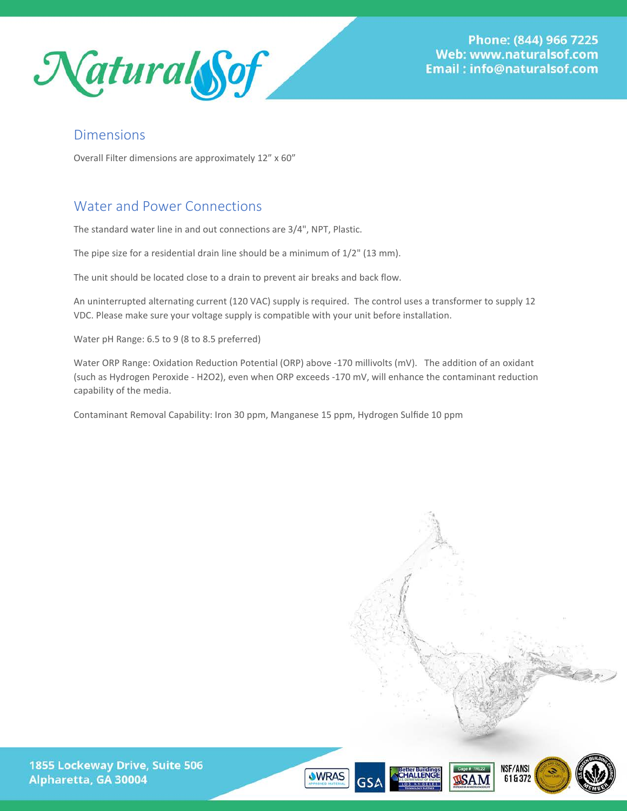

Phone: (844) 966 7225 Web: www.naturalsof.com Email:info@naturalsof.com

### <span id="page-4-0"></span>Dimensions

Overall Filter dimensions are approximately 12" x 60"

# <span id="page-4-1"></span>Water and Power Connections

The standard water line in and out connections are 3/4", NPT, Plastic.

The pipe size for a residential drain line should be a minimum of 1/2" (13 mm).

The unit should be located close to a drain to prevent air breaks and back flow.

An uninterrupted alternating current (120 VAC) supply is required. The control uses a transformer to supply 12 VDC. Please make sure your voltage supply is compatible with your unit before installation.

Water pH Range: 6.5 to 9 (8 to 8.5 preferred)

Water ORP Range: Oxidation Reduction Potential (ORP) above -170 millivolts (mV). The addition of an oxidant (such as Hydrogen Peroxide - H2O2), even when ORP exceeds -170 mV, will enhance the contaminant reduction capability of the media.

Contaminant Removal Capability: Iron 30 ppm, Manganese 15 ppm, Hydrogen Sulfide 10 ppm







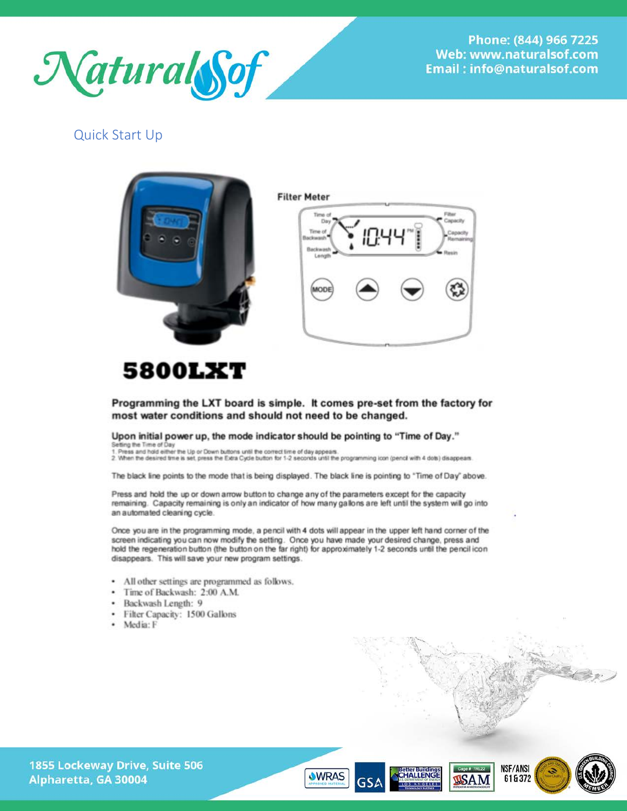

Phone: (844) 966 7225 Web: www.naturalsof.com Email:info@naturalsof.com

### <span id="page-5-0"></span>**Quick Start Up**





# **5800LXT**

Programming the LXT board is simple. It comes pre-set from the factory for most water conditions and should not need to be changed.

#### Upon initial power up, the mode indicator should be pointing to "Time of Day."

Setting the Time of Day<br>1. Press and hold either the Up or Down buttons until the correct time of day appears.<br>2. When the desired trine is set, press the Extra Cycle button for 1-2 seconds until the programming icon (penc

The black line points to the mode that is being displayed. The black line is pointing to "Time of Day" above.

Press and hold the up or down arrow button to change any of the parameters except for the capacity remaining. Capacity remaining is only an indicator of how many gallons are left until the system will go into an automated cleaning cycle.

Once you are in the programming mode, a pencil with 4 dots will appear in the upper left hand corner of the screen indicating you can now modify the setting. Once you have made your desired change, press and hold the regeneration button (the button on the far right) for approximately 1-2 seconds until the pencil icon disappears. This will save your new program settings.

- All other settings are programmed as follows.
- Time of Backwash: 2:00 A.M.
- · Backwash Length: 9
- · Filter Capacity: 1500 Gallons
- · Media: F







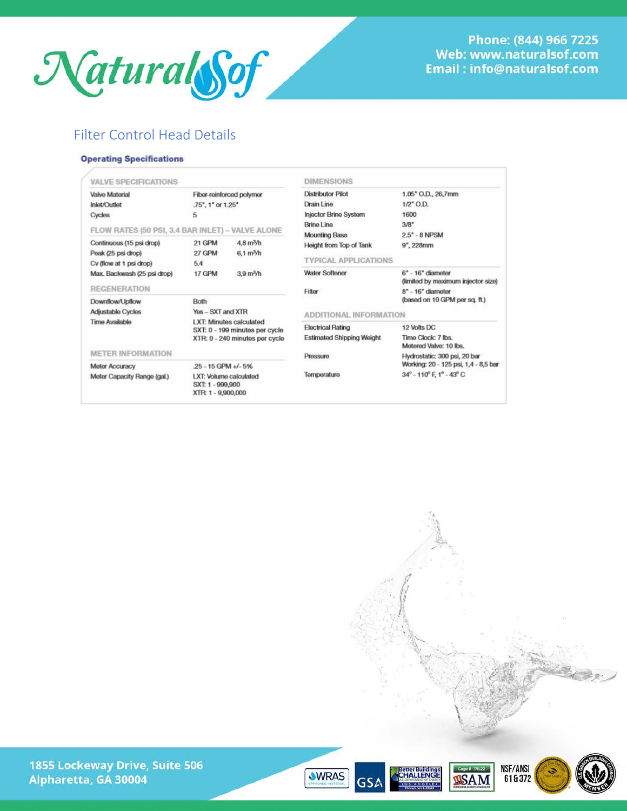

## <span id="page-6-0"></span>Filter Control Head Details

#### **Operating Specifications**

<span id="page-6-1"></span>

| <b>VALVE SPECIFICATIONS</b>                                                                                                   |                                                                                                                                                   |                                            | <b>DIMENSIONS</b>                                                                    |                                                                                  |
|-------------------------------------------------------------------------------------------------------------------------------|---------------------------------------------------------------------------------------------------------------------------------------------------|--------------------------------------------|--------------------------------------------------------------------------------------|----------------------------------------------------------------------------------|
| Valve Material<br>Inlet/Outlet<br>Cycles                                                                                      | Fiber-reinforced polymer<br>.75", 1" or 1.25"<br>5                                                                                                |                                            | <b>Distributor Pilot</b><br>Drain Line<br><b>Injector Brine System</b><br>Brine Line | 1.05" O.D., 26,7mm<br>$1/2$ <sup>*</sup> O.D.<br>1600<br>3/8"                    |
| FLOW RATES (50 PSI, 3.4 BAR INLET) - VALVE ALONE<br>Continuous (15 psi drop)<br>Peak (25 psi drop)<br>Cv (flow at 1 psi drop) | 21 GPM<br>27 GPM<br>5.4                                                                                                                           | $4,8 \text{ m}^3/h$<br>$6.1 \text{ m}^3/h$ | <b>Mounting Base</b><br>Height from Top of Tank<br><b>TYPICAL APPLICATIONS</b>       | 2.5" - 8 NPSM<br>$9'$ , 228mm                                                    |
| Max. Backwash (25 psi drop)<br><b>REGENERATION</b>                                                                            | 17 GPM                                                                                                                                            | 3.9 <sub>m</sub> <sup>3</sup> /h           | <b>Water Softener</b><br>Filter                                                      | $6" - 16"$ diameter<br>(limited by maximum injector size)<br>$8" - 16"$ diameter |
| Downflow/Upflow<br>Adjustable Cycles<br>Time Available                                                                        | Both<br>$Yes - SXT$ and $XTR$<br>LXT: Minutes calculated<br>SXT: 0 - 199 minutes per cycle<br>XTR: 0 - 240 minutes per cycle<br>25 - 15 GPM +/-5% |                                            | (based on 10 GPM per sq. ft.)<br><b>ADDITIONAL INFORMATION</b>                       |                                                                                  |
|                                                                                                                               |                                                                                                                                                   |                                            | <b>Electrical Rating</b><br><b>Estimated Shipping Weight</b>                         | 12 Volts DC<br>Time Clock: 7 lbs.<br>Metered Valve: 10 lbs.                      |
| <b>METER INFORMATION</b><br><b>Meter Accuracy</b>                                                                             |                                                                                                                                                   |                                            | Pressure                                                                             | Hydrostatic: 300 psi, 20 bar<br>Working: 20 - 125 psi, 1,4 - 8,5 bar             |
| Meter Capacity Range (gal.)                                                                                                   | LXT: Volume calculated<br>SXT: 1 - 999,900<br>XTR: 1 - 9,900,000                                                                                  |                                            | Temperature                                                                          | $34^{\circ}$ - 110 $^{\circ}$ F, 1 $^{\circ}$ - 43 $^{\circ}$ C                  |

1855 Lockeway Drive, Suite 506 Alpharetta, GA 30004





**GSA** 



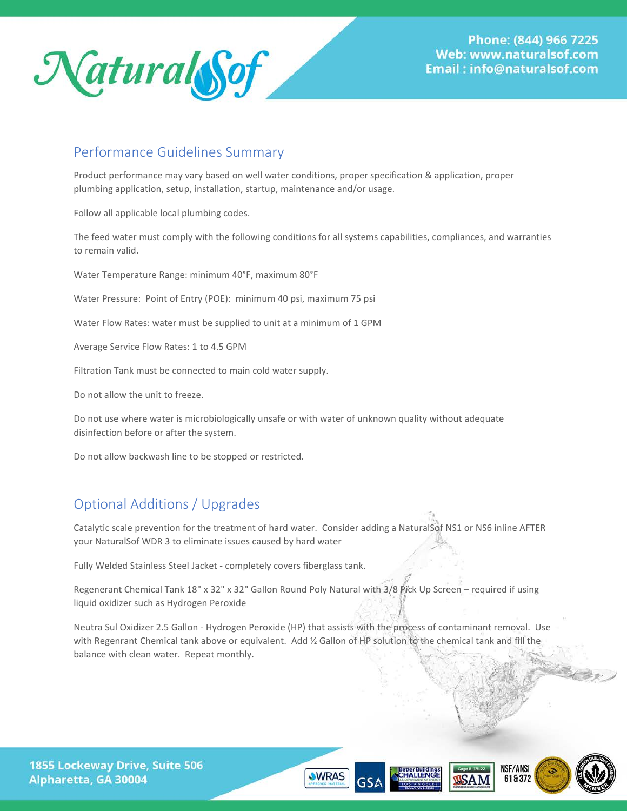

### Performance Guidelines Summary

Product performance may vary based on well water conditions, proper specification & application, proper plumbing application, setup, installation, startup, maintenance and/or usage.

Follow all applicable local plumbing codes.

The feed water must comply with the following conditions for all systems capabilities, compliances, and warranties to remain valid.

Water Temperature Range: minimum 40°F, maximum 80°F

Water Pressure: Point of Entry (POE): minimum 40 psi, maximum 75 psi

Water Flow Rates: water must be supplied to unit at a minimum of 1 GPM

Average Service Flow Rates: 1 to 4.5 GPM

Filtration Tank must be connected to main cold water supply.

Do not allow the unit to freeze.

Do not use where water is microbiologically unsafe or with water of unknown quality without adequate disinfection before or after the system.

Do not allow backwash line to be stopped or restricted.

# <span id="page-7-0"></span>Optional Additions / Upgrades

Catalytic scale prevention for the treatment of hard water. Consider adding a NaturalSof NS1 or NS6 inline AFTER your NaturalSof WDR 3 to eliminate issues caused by hard water

Fully Welded Stainless Steel Jacket - completely covers fiberglass tank.

Regenerant Chemical Tank 18" x 32" x 32" Gallon Round Poly Natural with 3/8 Pick Up Screen – required if using liquid oxidizer such as Hydrogen Peroxide

Neutra Sul Oxidizer 2.5 Gallon - Hydrogen Peroxide (HP) that assists with the process of contaminant removal. Use with Regenrant Chemical tank above or equivalent. Add 1/2 Gallon of HP solution to the chemical tank and fill the balance with clean water. Repeat monthly.







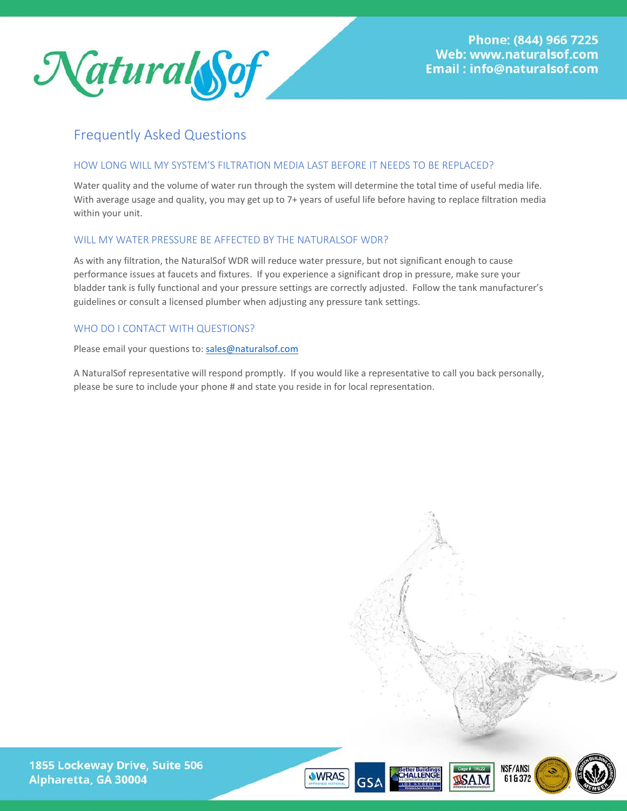

### <span id="page-8-0"></span>Frequently Asked Questions

### <span id="page-8-1"></span>HOW LONG WILL MY SYSTEM'S FILTRATION MEDIA LAST BEFORE IT NEEDS TO BE REPLACED?

Water quality and the volume of water run through the system will determine the total time of useful media life. With average usage and quality, you may get up to 7+ years of useful life before having to replace filtration media within your unit.

### <span id="page-8-2"></span>WILL MY WATER PRESSURE BE AFFECTED BY THE NATURALSOF WDR?

As with any filtration, the NaturalSof WDR will reduce water pressure, but not significant enough to cause performance issues at faucets and fixtures. If you experience a significant drop in pressure, make sure your bladder tank is fully functional and your pressure settings are correctly adjusted. Follow the tank manufacturer's guidelines or consult a licensed plumber when adjusting any pressure tank settings.

### <span id="page-8-3"></span>WHO DO I CONTACT WITH QUESTIONS?

Please email your questions to: [sales@naturalsof.com](mailto:sales@naturalsof.com)

A NaturalSof representative will respond promptly. If you would like a representative to call you back personally, please be sure to include your phone # and state you reside in for local representation.